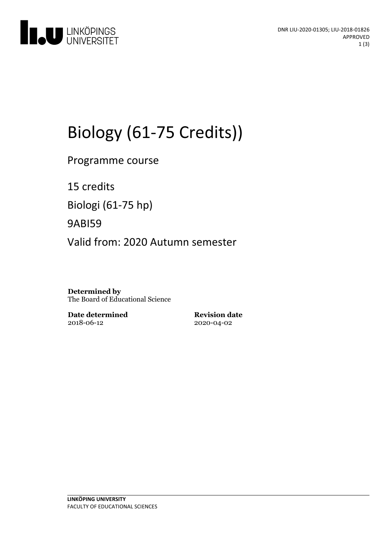

# Biology (61-75 Credits))

Programme course

15 credits Biologi (61-75 hp)

9ABI59

Valid from: 2020 Autumn semester

**Determined by** The Board of Educational Science

**Date determined** 2018-06-12

**Revision date** 2020-04-02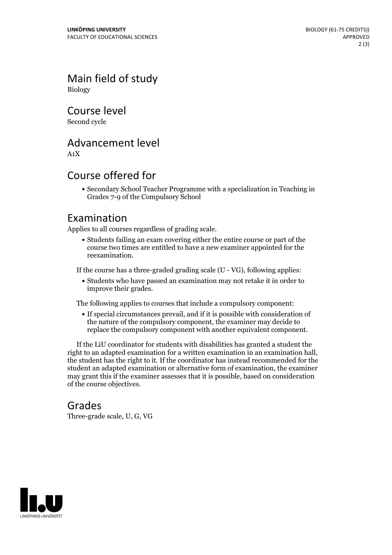Main field of study Biology

Course level

Second cycle

## Advancement level

A1X

## Course offered for

Secondary School Teacher Programme with a specialization in Teaching in Grades 7-9 of the Compulsory School

#### Examination

Applies to all courses regardless of grading scale.

Students failing an exam covering either the entire course or part of the course two times are entitled to have a new examiner appointed for the reexamination.

If the course has a three-graded grading scale (U - VG), following applies:

Students who have passed an examination may not retake it in order to improve their grades.

The following applies to courses that include a compulsory component:

If special circumstances prevail, and if it is possible with consideration of the nature of the compulsory component, the examiner may decide to replace the compulsory component with another equivalent component.

If the LiU coordinator for students with disabilities has granted a student the right to an adapted examination for <sup>a</sup> written examination in an examination hall, the student has the right to it. If the coordinator has instead recommended for the student an adapted examination or alternative form of examination, the examiner may grant this if the examiner assesses that it is possible, based on consideration of the course objectives.

#### Grades

Three-grade scale, U, G, VG